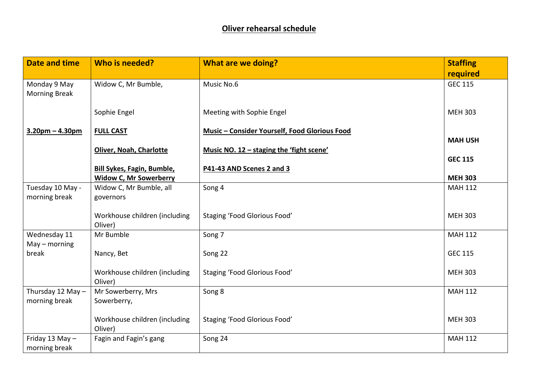| <b>Date and time</b>                 | Who is needed?                           | <b>What are we doing?</b>                     | <b>Staffing</b> |
|--------------------------------------|------------------------------------------|-----------------------------------------------|-----------------|
|                                      |                                          |                                               | required        |
| Monday 9 May<br><b>Morning Break</b> | Widow C, Mr Bumble,                      | Music No.6                                    | <b>GEC 115</b>  |
|                                      | Sophie Engel                             | Meeting with Sophie Engel                     | <b>MEH 303</b>  |
| $3.20pm - 4.30pm$                    | <b>FULL CAST</b>                         | Music - Consider Yourself, Food Glorious Food | <b>MAH USH</b>  |
|                                      | Oliver, Noah, Charlotte                  | Music NO. 12 - staging the 'fight scene'      |                 |
|                                      |                                          |                                               | <b>GEC 115</b>  |
|                                      | <b>Bill Sykes, Fagin, Bumble,</b>        | P41-43 AND Scenes 2 and 3                     |                 |
|                                      | <b>Widow C, Mr Sowerberry</b>            |                                               | <b>MEH 303</b>  |
| Tuesday 10 May -                     | Widow C, Mr Bumble, all                  | Song 4                                        | <b>MAH 112</b>  |
| morning break                        | governors                                |                                               |                 |
|                                      | Workhouse children (including<br>Oliver) | Staging 'Food Glorious Food'                  | <b>MEH 303</b>  |
| Wednesday 11<br>$May - morning$      | Mr Bumble                                | Song 7                                        | <b>MAH 112</b>  |
| break                                | Nancy, Bet                               | Song 22                                       | <b>GEC 115</b>  |
|                                      | Workhouse children (including<br>Oliver) | <b>Staging 'Food Glorious Food'</b>           | <b>MEH 303</b>  |
| Thursday 12 May -                    | Mr Sowerberry, Mrs                       | Song 8                                        | <b>MAH 112</b>  |
| morning break                        | Sowerberry,                              |                                               |                 |
|                                      | Workhouse children (including<br>Oliver) | Staging 'Food Glorious Food'                  | <b>MEH 303</b>  |
| Friday 13 May $-$<br>morning break   | Fagin and Fagin's gang                   | Song 24                                       | <b>MAH 112</b>  |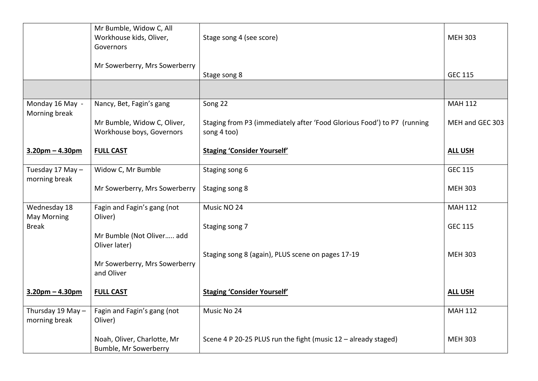|                                    | Mr Bumble, Widow C, All<br>Workhouse kids, Oliver,<br>Governors | Stage song 4 (see score)                                                               | <b>MEH 303</b>  |
|------------------------------------|-----------------------------------------------------------------|----------------------------------------------------------------------------------------|-----------------|
|                                    | Mr Sowerberry, Mrs Sowerberry                                   | Stage song 8                                                                           | <b>GEC 115</b>  |
|                                    |                                                                 |                                                                                        |                 |
| Monday 16 May -<br>Morning break   | Nancy, Bet, Fagin's gang                                        | Song 22                                                                                | <b>MAH 112</b>  |
|                                    | Mr Bumble, Widow C, Oliver,<br>Workhouse boys, Governors        | Staging from P3 (immediately after 'Food Glorious Food') to P7 (running<br>song 4 too) | MEH and GEC 303 |
| $3.20pm - 4.30pm$                  | <b>FULL CAST</b>                                                | <b>Staging 'Consider Yourself'</b>                                                     | <b>ALL USH</b>  |
| Tuesday 17 May -<br>morning break  | Widow C, Mr Bumble                                              | Staging song 6                                                                         | <b>GEC 115</b>  |
|                                    | Mr Sowerberry, Mrs Sowerberry                                   | Staging song 8                                                                         | <b>MEH 303</b>  |
| Wednesday 18<br><b>May Morning</b> | Fagin and Fagin's gang (not<br>Oliver)                          | Music NO 24                                                                            | <b>MAH 112</b>  |
| <b>Break</b>                       | Mr Bumble (Not Oliver add                                       | Staging song 7                                                                         | <b>GEC 115</b>  |
|                                    | Oliver later)                                                   | Staging song 8 (again), PLUS scene on pages 17-19                                      | <b>MEH 303</b>  |
|                                    | Mr Sowerberry, Mrs Sowerberry<br>and Oliver                     |                                                                                        |                 |
| $3.20pm - 4.30pm$                  | <b>FULL CAST</b>                                                | <b>Staging 'Consider Yourself'</b>                                                     | <b>ALL USH</b>  |
| Thursday 19 May -<br>morning break | Fagin and Fagin's gang (not<br>Oliver)                          | Music No 24                                                                            | <b>MAH 112</b>  |
|                                    | Noah, Oliver, Charlotte, Mr<br>Bumble, Mr Sowerberry            | Scene 4 P 20-25 PLUS run the fight (music 12 - already staged)                         | <b>MEH 303</b>  |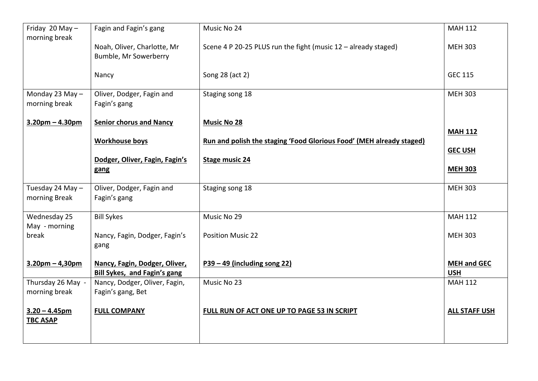| Friday 20 May -<br>morning break    | Fagin and Fagin's gang                                               | Music No 24                                                          | <b>MAH 112</b>                   |
|-------------------------------------|----------------------------------------------------------------------|----------------------------------------------------------------------|----------------------------------|
|                                     | Noah, Oliver, Charlotte, Mr<br>Bumble, Mr Sowerberry                 | Scene 4 P 20-25 PLUS run the fight (music 12 - already staged)       | <b>MEH 303</b>                   |
|                                     | Nancy                                                                | Song 28 (act 2)                                                      | <b>GEC 115</b>                   |
| Monday 23 May -<br>morning break    | Oliver, Dodger, Fagin and<br>Fagin's gang                            | Staging song 18                                                      | <b>MEH 303</b>                   |
| $3.20$ pm – 4.30pm                  | <b>Senior chorus and Nancy</b>                                       | <b>Music No 28</b>                                                   | <b>MAH 112</b>                   |
|                                     | <b>Workhouse boys</b>                                                | Run and polish the staging 'Food Glorious Food' (MEH already staged) |                                  |
|                                     | Dodger, Oliver, Fagin, Fagin's                                       | <b>Stage music 24</b>                                                | <b>GEC USH</b>                   |
|                                     | gang                                                                 |                                                                      | <b>MEH 303</b>                   |
| Tuesday 24 May -<br>morning Break   | Oliver, Dodger, Fagin and<br>Fagin's gang                            | Staging song 18                                                      | <b>MEH 303</b>                   |
| Wednesday 25                        | <b>Bill Sykes</b>                                                    | Music No 29                                                          | <b>MAH 112</b>                   |
| break                               | Nancy, Fagin, Dodger, Fagin's<br>gang                                | <b>Position Music 22</b>                                             | <b>MEH 303</b>                   |
| $3.20$ pm – 4,30pm                  | Nancy, Fagin, Dodger, Oliver,<br><b>Bill Sykes, and Fagin's gang</b> | $P39 - 49$ (including song 22)                                       | <b>MEH and GEC</b><br><b>USH</b> |
| Thursday 26 May -                   | Nancy, Dodger, Oliver, Fagin,                                        | Music No 23                                                          | <b>MAH 112</b>                   |
|                                     |                                                                      |                                                                      |                                  |
| $3.20 - 4.45$ pm<br><b>TBC ASAP</b> | <b>FULL COMPANY</b>                                                  | FULL RUN OF ACT ONE UP TO PAGE 53 IN SCRIPT                          | <b>ALL STAFF USH</b>             |
| May - morning<br>morning break      | Fagin's gang, Bet                                                    |                                                                      |                                  |